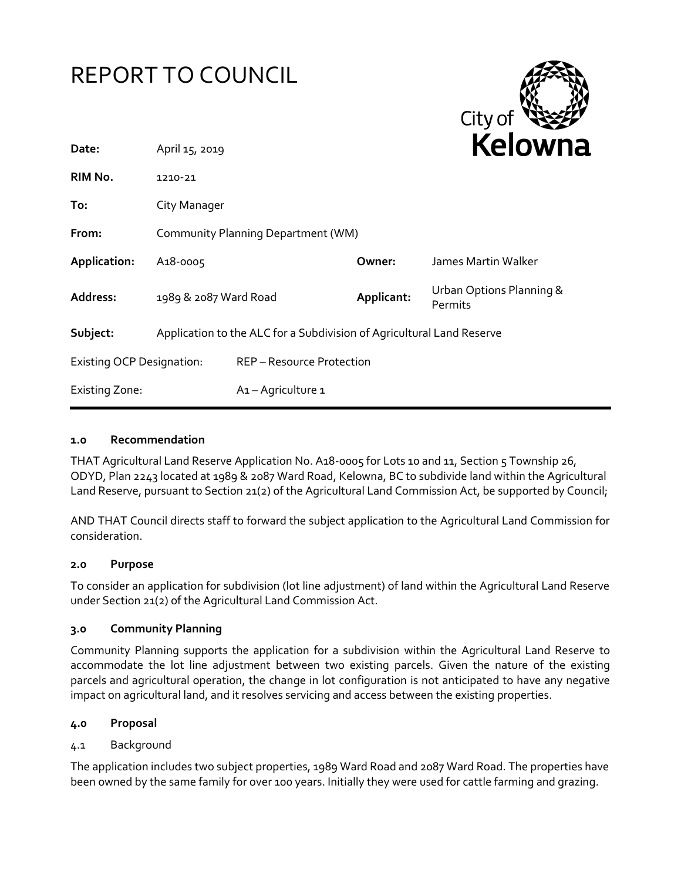

### **1.0 Recommendation**

THAT Agricultural Land Reserve Application No. A18-0005 for Lots 10 and 11, Section 5 Township 26, ODYD, Plan 2243 located at 1989 & 2087 Ward Road, Kelowna, BC to subdivide land within the Agricultural Land Reserve, pursuant to Section 21(2) of the Agricultural Land Commission Act, be supported by Council;

AND THAT Council directs staff to forward the subject application to the Agricultural Land Commission for consideration.

#### **2.0 Purpose**

To consider an application for subdivision (lot line adjustment) of land within the Agricultural Land Reserve under Section 21(2) of the Agricultural Land Commission Act.

#### **3.0 Community Planning**

Community Planning supports the application for a subdivision within the Agricultural Land Reserve to accommodate the lot line adjustment between two existing parcels. Given the nature of the existing parcels and agricultural operation, the change in lot configuration is not anticipated to have any negative impact on agricultural land, and it resolves servicing and access between the existing properties.

### **4.0 Proposal**

### 4.1 Background

The application includes two subject properties, 1989 Ward Road and 2087 Ward Road. The properties have been owned by the same family for over 100 years. Initially they were used for cattle farming and grazing.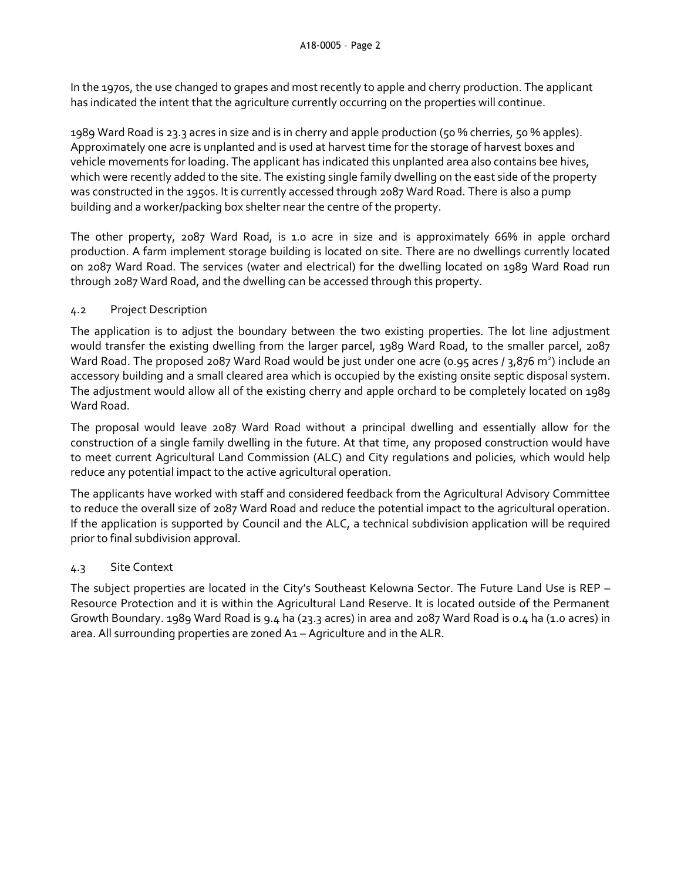In the 1970s, the use changed to grapes and most recently to apple and cherry production. The applicant has indicated the intent that the agriculture currently occurring on the properties will continue.

1989 Ward Road is 23.3 acres in size and is in cherry and apple production (50 % cherries, 50 % apples). Approximately one acre is unplanted and is used at harvest time for the storage of harvest boxes and vehicle movements for loading. The applicant has indicated this unplanted area also contains bee hives, which were recently added to the site. The existing single family dwelling on the east side of the property was constructed in the 1950s. It is currently accessed through 2087 Ward Road. There is also a pump building and a worker/packing box shelter near the centre of the property.

The other property, 2087 Ward Road, is 1.0 acre in size and is approximately 66% in apple orchard production. A farm implement storage building is located on site. There are no dwellings currently located on 2087 Ward Road. The services (water and electrical) for the dwelling located on 1989 Ward Road run through 2087 Ward Road, and the dwelling can be accessed through this property.

## 4.2 Project Description

The application is to adjust the boundary between the two existing properties. The lot line adjustment would transfer the existing dwelling from the larger parcel, 1989 Ward Road, to the smaller parcel, 2087 Ward Road. The proposed 2087 Ward Road would be just under one acre (0.95 acres / 3,876 m<sup>2</sup>) include an accessory building and a small cleared area which is occupied by the existing onsite septic disposal system. The adjustment would allow all of the existing cherry and apple orchard to be completely located on 1989 Ward Road.

The proposal would leave 2087 Ward Road without a principal dwelling and essentially allow for the construction of a single family dwelling in the future. At that time, any proposed construction would have to meet current Agricultural Land Commission (ALC) and City regulations and policies, which would help reduce any potential impact to the active agricultural operation.

The applicants have worked with staff and considered feedback from the Agricultural Advisory Committee to reduce the overall size of 2087 Ward Road and reduce the potential impact to the agricultural operation. If the application is supported by Council and the ALC, a technical subdivision application will be required prior to final subdivision approval.

# 4.3 Site Context

The subject properties are located in the City's Southeast Kelowna Sector. The Future Land Use is REP – Resource Protection and it is within the Agricultural Land Reserve. It is located outside of the Permanent Growth Boundary. 1989 Ward Road is 9.4 ha (23.3 acres) in area and 2087 Ward Road is 0.4 ha (1.0 acres) in area. All surrounding properties are zoned A1 – Agriculture and in the ALR.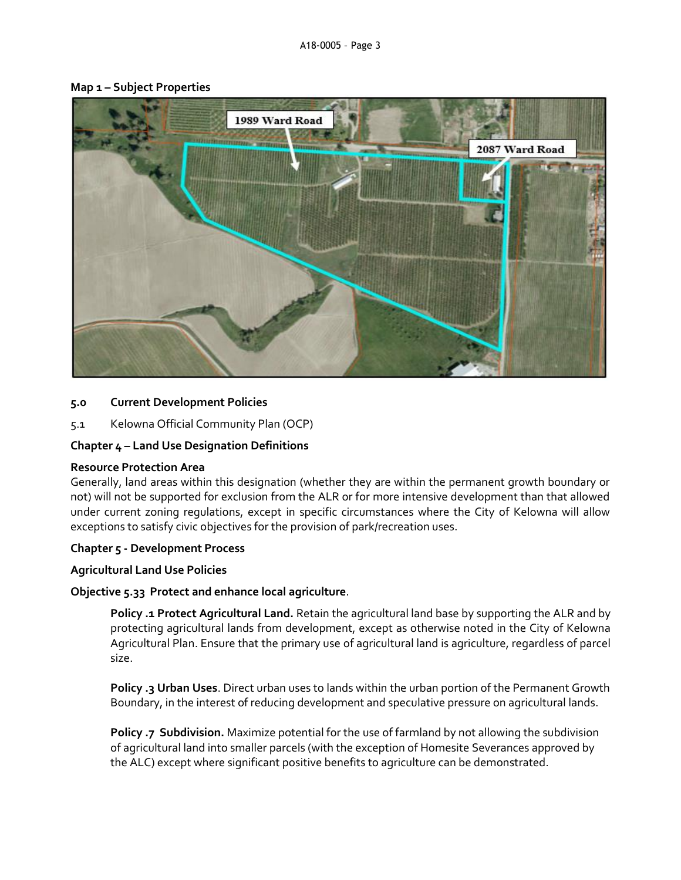

#### **Map 1 – Subject Properties**

### **5.0 Current Development Policies**

5.1 Kelowna Official Community Plan (OCP)

### **Chapter 4 – Land Use Designation Definitions**

#### **Resource Protection Area**

Generally, land areas within this designation (whether they are within the permanent growth boundary or not) will not be supported for exclusion from the ALR or for more intensive development than that allowed under current zoning regulations, except in specific circumstances where the City of Kelowna will allow exceptions to satisfy civic objectives for the provision of park/recreation uses.

#### **Chapter 5 - Development Process**

### **Agricultural Land Use Policies**

### **Objective 5.33 Protect and enhance local agriculture**.

**Policy .1 Protect Agricultural Land.** Retain the agricultural land base by supporting the ALR and by protecting agricultural lands from development, except as otherwise noted in the City of Kelowna Agricultural Plan. Ensure that the primary use of agricultural land is agriculture, regardless of parcel size.

**Policy .3 Urban Uses**. Direct urban uses to lands within the urban portion of the Permanent Growth Boundary, in the interest of reducing development and speculative pressure on agricultural lands.

**Policy .7 Subdivision.** Maximize potential for the use of farmland by not allowing the subdivision of agricultural land into smaller parcels (with the exception of Homesite Severances approved by the ALC) except where significant positive benefits to agriculture can be demonstrated.